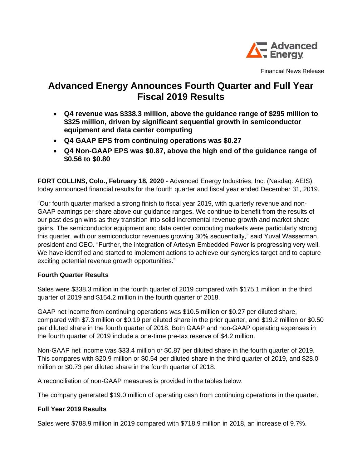

Financial News Release

# **Advanced Energy Announces Fourth Quarter and Full Year Fiscal 2019 Results**

- **Q4 revenue was \$338.3 million, above the guidance range of \$295 million to \$325 million, driven by significant sequential growth in semiconductor equipment and data center computing**
- **Q4 GAAP EPS from continuing operations was \$0.27**
- **Q4 Non-GAAP EPS was \$0.87, above the high end of the guidance range of \$0.56 to \$0.80**

**FORT COLLINS, Colo., February 18, 2020** - Advanced Energy Industries, Inc. (Nasdaq: AEIS), today announced financial results for the fourth quarter and fiscal year ended December 31, 2019.

"Our fourth quarter marked a strong finish to fiscal year 2019, with quarterly revenue and non-GAAP earnings per share above our guidance ranges. We continue to benefit from the results of our past design wins as they transition into solid incremental revenue growth and market share gains. The semiconductor equipment and data center computing markets were particularly strong this quarter, with our semiconductor revenues growing 30% sequentially," said Yuval Wasserman, president and CEO. "Further, the integration of Artesyn Embedded Power is progressing very well. We have identified and started to implement actions to achieve our synergies target and to capture exciting potential revenue growth opportunities."

## **Fourth Quarter Results**

Sales were \$338.3 million in the fourth quarter of 2019 compared with \$175.1 million in the third quarter of 2019 and \$154.2 million in the fourth quarter of 2018.

GAAP net income from continuing operations was \$10.5 million or \$0.27 per diluted share, compared with \$7.3 million or \$0.19 per diluted share in the prior quarter, and \$19.2 million or \$0.50 per diluted share in the fourth quarter of 2018. Both GAAP and non-GAAP operating expenses in the fourth quarter of 2019 include a one-time pre-tax reserve of \$4.2 million.

Non-GAAP net income was \$33.4 million or \$0.87 per diluted share in the fourth quarter of 2019. This compares with \$20.9 million or \$0.54 per diluted share in the third quarter of 2019, and \$28.0 million or \$0.73 per diluted share in the fourth quarter of 2018.

A reconciliation of non-GAAP measures is provided in the tables below.

The company generated \$19.0 million of operating cash from continuing operations in the quarter.

#### **Full Year 2019 Results**

Sales were \$788.9 million in 2019 compared with \$718.9 million in 2018, an increase of 9.7%.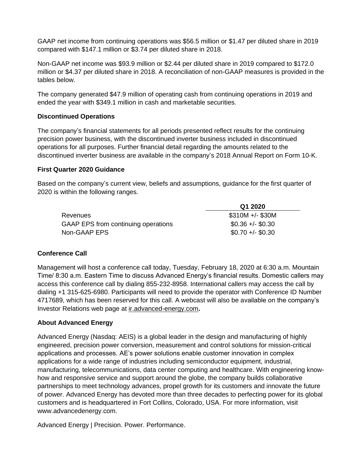GAAP net income from continuing operations was \$56.5 million or \$1.47 per diluted share in 2019 compared with \$147.1 million or \$3.74 per diluted share in 2018.

Non-GAAP net income was \$93.9 million or \$2.44 per diluted share in 2019 compared to \$172.0 million or \$4.37 per diluted share in 2018. A reconciliation of non-GAAP measures is provided in the tables below.

The company generated \$47.9 million of operating cash from continuing operations in 2019 and ended the year with \$349.1 million in cash and marketable securities.

#### **Discontinued Operations**

The company's financial statements for all periods presented reflect results for the continuing precision power business, with the discontinued inverter business included in discontinued operations for all purposes. Further financial detail regarding the amounts related to the discontinued inverter business are available in the company's 2018 Annual Report on Form 10-K.

#### **First Quarter 2020 Guidance**

Based on the company's current view, beliefs and assumptions, guidance for the first quarter of 2020 is within the following ranges.

|                                     | Q1 2020           |
|-------------------------------------|-------------------|
| Revenues                            | $$310M +/- $30M$  |
| GAAP EPS from continuing operations | $$0.36 +/- $0.30$ |
| Non-GAAP EPS                        | $$0.70 +/- $0.30$ |

## **Conference Call**

Management will host a conference call today, Tuesday, February 18, 2020 at 6:30 a.m. Mountain Time/ 8:30 a.m. Eastern Time to discuss Advanced Energy's financial results. Domestic callers may access this conference call by dialing 855-232-8958. International callers may access the call by dialing +1 315-625-6980. Participants will need to provide the operator with Conference ID Number 4717689, which has been reserved for this call. A webcast will also be available on the company's Investor Relations web page at ir.advanced-energy.com**.**

#### **About Advanced Energy**

Advanced Energy (Nasdaq: AEIS) is a global leader in the design and manufacturing of highly engineered, precision power conversion, measurement and control solutions for mission-critical applications and processes. AE's power solutions enable customer innovation in complex applications for a wide range of industries including semiconductor equipment, industrial, manufacturing, telecommunications, data center computing and healthcare. With engineering knowhow and responsive service and support around the globe, the company builds collaborative partnerships to meet technology advances, propel growth for its customers and innovate the future of power. Advanced Energy has devoted more than three decades to perfecting power for its global customers and is headquartered in Fort Collins, Colorado, USA. For more information, visit www.advancedenergy.com.

Advanced Energy | Precision. Power. Performance.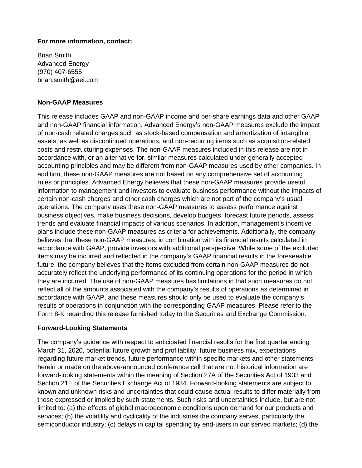### **For more information, contact:**

Brian Smith Advanced Energy (970) 407-6555 brian.smith@aei.com

### **Non-GAAP Measures**

This release includes GAAP and non-GAAP income and per-share earnings data and other GAAP and non-GAAP financial information. Advanced Energy's non-GAAP measures exclude the impact of non-cash related charges such as stock-based compensation and amortization of intangible assets, as well as discontinued operations, and non-recurring items such as acquisition-related costs and restructuring expenses. The non-GAAP measures included in this release are not in accordance with, or an alternative for, similar measures calculated under generally accepted accounting principles and may be different from non-GAAP measures used by other companies. In addition, these non-GAAP measures are not based on any comprehensive set of accounting rules or principles. Advanced Energy believes that these non-GAAP measures provide useful information to management and investors to evaluate business performance without the impacts of certain non-cash charges and other cash charges which are not part of the company's usual operations. The company uses these non-GAAP measures to assess performance against business objectives, make business decisions, develop budgets, forecast future periods, assess trends and evaluate financial impacts of various scenarios. In addition, management's incentive plans include these non-GAAP measures as criteria for achievements. Additionally, the company believes that these non-GAAP measures, in combination with its financial results calculated in accordance with GAAP, provide investors with additional perspective. While some of the excluded items may be incurred and reflected in the company's GAAP financial results in the foreseeable future, the company believes that the items excluded from certain non-GAAP measures do not accurately reflect the underlying performance of its continuing operations for the period in which they are incurred. The use of non-GAAP measures has limitations in that such measures do not reflect all of the amounts associated with the company's results of operations as determined in accordance with GAAP, and these measures should only be used to evaluate the company's results of operations in conjunction with the corresponding GAAP measures. Please refer to the Form 8-K regarding this release furnished today to the Securities and Exchange Commission.

#### **Forward-Looking Statements**

The company's guidance with respect to anticipated financial results for the first quarter ending March 31, 2020, potential future growth and profitability, future business mix, expectations regarding future market trends, future performance within specific markets and other statements herein or made on the above-announced conference call that are not historical information are forward-looking statements within the meaning of Section 27A of the Securities Act of 1933 and Section 21E of the Securities Exchange Act of 1934. Forward-looking statements are subject to known and unknown risks and uncertainties that could cause actual results to differ materially from those expressed or implied by such statements. Such risks and uncertainties include, but are not limited to: (a) the effects of global macroeconomic conditions upon demand for our products and services; (b) the volatility and cyclicality of the industries the company serves, particularly the semiconductor industry; (c) delays in capital spending by end-users in our served markets; (d) the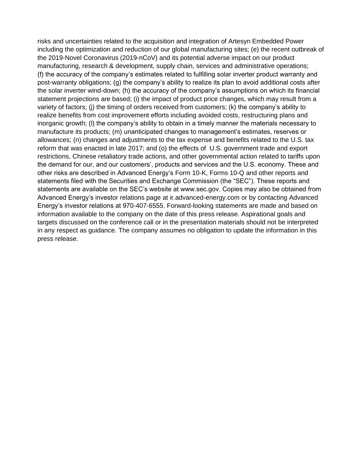risks and uncertainties related to the acquisition and integration of Artesyn Embedded Power including the optimization and reduction of our global manufacturing sites; (e) the recent outbreak of the 2019-Novel Coronavirus (2019-nCoV) and its potential adverse impact on our product manufacturing, research & development, supply chain, services and administrative operations; (f) the accuracy of the company's estimates related to fulfilling solar inverter product warranty and post-warranty obligations; (g) the company's ability to realize its plan to avoid additional costs after the solar inverter wind-down; (h) the accuracy of the company's assumptions on which its financial statement projections are based; (i) the impact of product price changes, which may result from a variety of factors; (j) the timing of orders received from customers; (k) the company's ability to realize benefits from cost improvement efforts including avoided costs, restructuring plans and inorganic growth; (l) the company's ability to obtain in a timely manner the materials necessary to manufacture its products; (m) unanticipated changes to management's estimates, reserves or allowances; (n) changes and adjustments to the tax expense and benefits related to the U.S. tax reform that was enacted in late 2017; and (o) the effects of U.S. government trade and export restrictions, Chinese retaliatory trade actions, and other governmental action related to tariffs upon the demand for our, and our customers', products and services and the U.S. economy. These and other risks are described in Advanced Energy's Form 10-K, Forms 10-Q and other reports and statements filed with the Securities and Exchange Commission (the "SEC"). These reports and statements are available on the SEC's website at www.sec.gov. Copies may also be obtained from Advanced Energy's investor relations page at ir.advanced-energy.com or by contacting Advanced Energy's investor relations at 970-407-6555. Forward-looking statements are made and based on information available to the company on the date of this press release. Aspirational goals and targets discussed on the conference call or in the presentation materials should not be interpreted in any respect as guidance. The company assumes no obligation to update the information in this press release.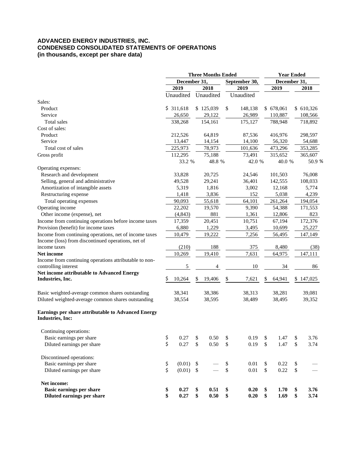#### **ADVANCED ENERGY INDUSTRIES, INC. CONDENSED CONSOLIDATED STATEMENTS OF OPERATIONS (in thousands, except per share data)**

|                                                                                |          |              |              | <b>Three Months Ended</b> |          |               |          | <b>Year Ended</b> |          |              |
|--------------------------------------------------------------------------------|----------|--------------|--------------|---------------------------|----------|---------------|----------|-------------------|----------|--------------|
|                                                                                |          | December 31, |              |                           |          | September 30, |          | December 31,      |          |              |
|                                                                                |          | 2019         |              | 2018                      |          | 2019          |          | 2019              | 2018     |              |
|                                                                                |          | Unaudited    |              | Unaudited                 |          | Unaudited     |          |                   |          |              |
| Sales:                                                                         |          |              |              |                           |          |               |          |                   |          |              |
| Product                                                                        |          | \$311,618    |              | \$125,039                 | \$       | 148,138       |          | \$678,061         |          | \$610,326    |
| Service                                                                        |          | 26,650       |              | 29,122                    |          | 26,989        |          | 110,887           |          | 108,566      |
| Total sales                                                                    |          | 338,268      |              | 154,161                   |          | 175,127       |          | 788,948           |          | 718,892      |
| Cost of sales:                                                                 |          |              |              |                           |          |               |          |                   |          |              |
| Product                                                                        |          | 212,526      |              | 64,819                    |          | 87,536        |          | 416,976           |          | 298,597      |
| Service                                                                        |          | 13,447       |              | 14,154                    |          | 14,100        |          | 56,320            |          | 54,688       |
| Total cost of sales                                                            |          | 225,973      |              | 78,973                    |          | 101,636       |          | 473,296           |          | 353,285      |
| Gross profit                                                                   |          | 112,295      |              | 75,188                    |          | 73,491        |          | 315,652           |          | 365,607      |
|                                                                                |          | 33.2 %       |              | 48.8 %                    |          | 42.0 %        |          | 40.0 %            |          | 50.9 %       |
| Operating expenses:                                                            |          |              |              |                           |          |               |          |                   |          |              |
| Research and development                                                       |          | 33,828       |              | 20,725                    |          | 24,546        |          | 101,503           |          | 76,008       |
| Selling, general and administrative                                            |          | 49,528       |              | 29,241                    |          | 36,401        |          | 142,555           |          | 108,033      |
| Amortization of intangible assets                                              |          | 5,319        |              | 1,816                     |          | 3,002         |          | 12,168            |          | 5,774        |
| Restructuring expense                                                          |          | 1,418        |              | 3,836                     |          | 152           |          | 5,038             |          | 4,239        |
| Total operating expenses                                                       |          | 90,093       |              | 55,618                    |          | 64,101        |          | 261,264           |          | 194,054      |
| Operating income                                                               |          | 22,202       |              | 19,570                    |          | 9,390         |          | 54,388            |          | 171,553      |
| Other income (expense), net                                                    |          | (4, 843)     |              | 881                       |          | 1,361         |          | 12,806            |          | 823          |
| Income from continuing operations before income taxes                          |          | 17,359       |              | 20,451                    |          | 10,751        |          | 67,194            |          | 172,376      |
| Provision (benefit) for income taxes                                           |          | 6,880        |              | 1,229                     |          | 3,495         |          | 10,699            |          | 25,227       |
| Income from continuing operations, net of income taxes                         |          | 10,479       |              | 19,222                    |          | 7,256         |          | 56,495            |          | 147,149      |
| Income (loss) from discontinued operations, net of                             |          |              |              |                           |          |               |          |                   |          |              |
| income taxes                                                                   |          | (210)        |              | 188                       |          | 375           |          | 8,480             |          | (38)         |
| Net income                                                                     |          | 10,269       |              | 19,410                    |          | 7,631         |          | 64,975            |          | 147,111      |
| Income from continuing operations attributable to non-                         |          |              |              |                           |          |               |          |                   |          |              |
| controlling interest                                                           |          | 5            |              | 4                         |          | 10            |          | 34                |          | 86           |
| Net income attributable to Advanced Energy                                     |          |              |              |                           |          |               |          |                   |          |              |
| Industries, Inc.                                                               | \$       | 10,264       |              | 19,406                    | \$       | 7,621         |          | 64,941            | \$       | 147,025      |
| Basic weighted-average common shares outstanding                               |          | 38,341       |              | 38,386                    |          | 38,313        |          | 38,281            |          | 39,081       |
| Diluted weighted-average common shares outstanding                             |          | 38,554       |              | 38,595                    |          | 38,489        |          | 38,495            |          | 39,352       |
| Earnings per share attributable to Advanced Energy<br><b>Industries</b> , Inc: |          |              |              |                           |          |               |          |                   |          |              |
| Continuing operations:                                                         |          |              |              |                           |          |               |          |                   |          |              |
| Basic earnings per share                                                       | \$       | 0.27         | \$           | 0.50                      | \$       | 0.19          | \$       | 1.47              | \$       | 3.76         |
| Diluted earnings per share                                                     | \$       | 0.27         | \$           | 0.50                      | \$       | 0.19          | \$       | 1.47              | \$       | 3.74         |
| Discontinued operations:                                                       |          |              |              |                           |          |               |          |                   |          |              |
| Basic earnings per share                                                       | \$       | (0.01)       | \$           |                           | \$       | 0.01          | $\$$     | 0.22              | \$       |              |
| Diluted earnings per share                                                     | \$       | (0.01)       | $\mathbb{S}$ |                           | \$       | $0.01\,$      | $\$$     | 0.22              | \$       |              |
| Net income:                                                                    |          |              |              |                           |          |               |          |                   |          |              |
| <b>Basic earnings per share</b><br>Diluted earnings per share                  | \$<br>\$ | 0.27<br>0.27 | \$<br>\$     | 0.51<br>0.50              | \$<br>\$ | 0.20<br>0.20  | \$<br>\$ | 1.70<br>1.69      | \$<br>\$ | 3.76<br>3.74 |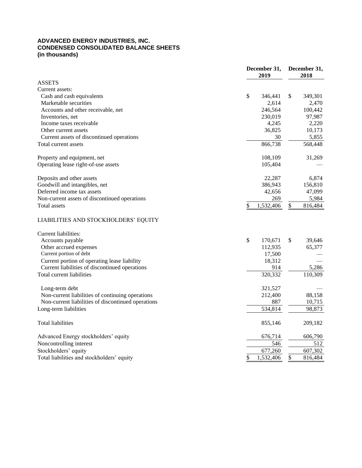#### **ADVANCED ENERGY INDUSTRIES, INC. CONDENSED CONSOLIDATED BALANCE SHEETS (in thousands)**

|                                                    | December 31,<br>2019 | December 31,<br>2018 |
|----------------------------------------------------|----------------------|----------------------|
| <b>ASSETS</b>                                      |                      |                      |
| Current assets:                                    |                      |                      |
| Cash and cash equivalents                          | \$<br>346,441        | 349,301<br>\$        |
| Marketable securities                              | 2,614                | 2,470                |
| Accounts and other receivable, net                 | 246,564              | 100,442              |
| Inventories, net                                   | 230,019              | 97,987               |
| Income taxes receivable                            | 4,245                | 2,220                |
| Other current assets                               | 36,825               | 10,173               |
| Current assets of discontinued operations          |                      | 5,855<br>30          |
| Total current assets                               | 866,738              | 568,448              |
| Property and equipment, net                        | 108,109              | 31,269               |
| Operating lease right-of-use assets                | 105,404              |                      |
| Deposits and other assets                          | 22,287               | 6,874                |
| Goodwill and intangibles, net                      | 386,943              | 156,810              |
| Deferred income tax assets                         | 42,656               | 47,099               |
| Non-current assets of discontinued operations      |                      | 5,984<br>269         |
| Total assets                                       | \$<br>1,532,406      | \$<br>816,484        |
| LIABILITIES AND STOCKHOLDERS' EQUITY               |                      |                      |
| Current liabilities:                               |                      |                      |
| Accounts payable                                   | \$<br>170,671        | \$<br>39,646         |
| Other accrued expenses                             | 112,935              | 65,377               |
| Current portion of debt                            | 17,500               |                      |
| Current portion of operating lease liability       | 18,312               |                      |
| Current liabilities of discontinued operations     |                      | 914<br>5,286         |
| Total current liabilities                          | 320,332              | 110,309              |
| Long-term debt                                     | 321,527              |                      |
| Non-current liabilities of continuing operations   | 212,400              | 88,158               |
| Non-current liabilities of discontinued operations | 887                  | 10,715               |
| Long-term liabilities                              | 534,814              | 98,873               |
| <b>Total liabilities</b>                           | 855,146              | 209,182              |
| Advanced Energy stockholders' equity               | 676,714              | 606,790              |
| Noncontrolling interest                            |                      | 546<br>512           |
| Stockholders' equity                               | 677,260              | 607,302              |
| Total liabilities and stockholders' equity         | \$<br>1,532,406      | \$<br>816,484        |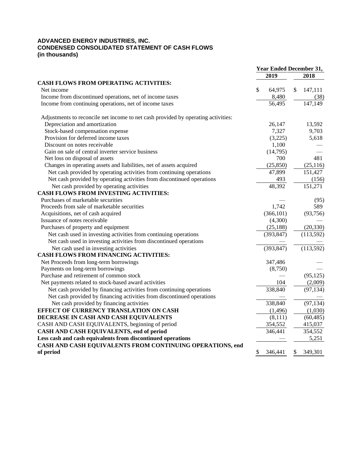#### **ADVANCED ENERGY INDUSTRIES, INC. CONDENSED CONSOLIDATED STATEMENT OF CASH FLOWS (in thousands)**

|                                                                                   | Year Ended December 31, |               |
|-----------------------------------------------------------------------------------|-------------------------|---------------|
|                                                                                   | 2019                    | 2018          |
| <b>CASH FLOWS FROM OPERATING ACTIVITIES:</b>                                      |                         |               |
| Net income                                                                        | \$<br>64,975            | \$<br>147,111 |
| Income from discontinued operations, net of income taxes                          | 8,480                   | (38)          |
| Income from continuing operations, net of income taxes                            | 56,495                  | 147,149       |
| Adjustments to reconcile net income to net cash provided by operating activities: |                         |               |
| Depreciation and amortization                                                     | 26,147                  | 13,592        |
| Stock-based compensation expense                                                  | 7,327                   | 9,703         |
| Provision for deferred income taxes                                               | (3,225)                 | 5,618         |
| Discount on notes receivable                                                      | 1,100                   |               |
| Gain on sale of central inverter service business                                 | (14,795)                |               |
| Net loss on disposal of assets                                                    | 700                     | 481           |
| Changes in operating assets and liabilities, net of assets acquired               | (25, 850)               | (25, 116)     |
| Net cash provided by operating activities from continuing operations              | 47,899                  | 151,427       |
| Net cash provided by operating activities from discontinued operations            | 493                     | (156)         |
| Net cash provided by operating activities                                         | 48,392                  | 151,271       |
| <b>CASH FLOWS FROM INVESTING ACTIVITIES:</b>                                      |                         |               |
| Purchases of marketable securities                                                |                         | (95)          |
| Proceeds from sale of marketable securities                                       | 1,742                   | 589           |
| Acquisitions, net of cash acquired                                                | (366, 101)              | (93,756)      |
| Issuance of notes receivable                                                      | (4,300)                 |               |
| Purchases of property and equipment                                               | (25, 188)               | (20, 330)     |
| Net cash used in investing activities from continuing operations                  | (393, 847)              | (113, 592)    |
| Net cash used in investing activities from discontinued operations                |                         |               |
| Net cash used in investing activities                                             | (393, 847)              | (113, 592)    |
| CASH FLOWS FROM FINANCING ACTIVITIES:                                             |                         |               |
| Net Proceeds from long-term borrowings                                            | 347,486                 |               |
| Payments on long-term borrowings                                                  | (8,750)                 |               |
| Purchase and retirement of common stock                                           |                         | (95, 125)     |
| Net payments related to stock-based award activities                              | 104                     | (2,009)       |
| Net cash provided by financing activities from continuing operations              | 338,840                 | (97, 134)     |
| Net cash provided by financing activities from discontinued operations            |                         |               |
| Net cash provided by financing activities                                         | 338,840                 | (97, 134)     |
| EFFECT OF CURRENCY TRANSLATION ON CASH                                            | (1,496)                 | (1,030)       |
| DECREASE IN CASH AND CASH EQUIVALENTS                                             | (8,111)                 | (60, 485)     |
| CASH AND CASH EQUIVALENTS, beginning of period                                    | 354,552                 | 415,037       |
| CASH AND CASH EQUIVALENTS, end of period                                          | 346,441                 | 354,552       |
| Less cash and cash equivalents from discontinued operations                       |                         | 5,251         |
| CASH AND CASH EQUIVALENTS FROM CONTINUING OPERATIONS, end                         |                         |               |
| of period                                                                         | \$<br>346,441           | \$<br>349,301 |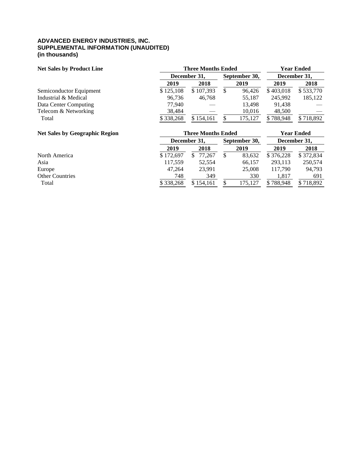#### **ADVANCED ENERGY INDUSTRIES, INC. SUPPLEMENTAL INFORMATION (UNAUDITED) (in thousands)**

| <b>Net Sales by Product Line</b> |                                               | <b>Three Months Ended</b> | <b>Year Ended</b> |         |           |           |
|----------------------------------|-----------------------------------------------|---------------------------|-------------------|---------|-----------|-----------|
|                                  | December 31,<br>September 30,<br>December 31, |                           |                   |         |           |           |
|                                  | 2019                                          | 2018                      |                   | 2019    | 2019      | 2018      |
| Semiconductor Equipment          | \$125,108                                     | \$107.393                 |                   | 96.426  | \$403,018 | \$533,770 |
| Industrial & Medical             | 96.736                                        | 46.768                    |                   | 55,187  | 245,992   | 185,122   |
| Data Center Computing            | 77.940                                        |                           |                   | 13,498  | 91,438    |           |
| Telecom & Networking             | 38,484                                        |                           |                   | 10,016  | 48,500    |           |
| Total                            | \$338,268                                     | \$154.161                 |                   | 175.127 | \$788,948 | \$718.892 |

| <b>Net Sales by Geographic Region</b> |           | <b>Three Months Ended</b> | <b>Year Ended</b> |              |           |  |  |
|---------------------------------------|-----------|---------------------------|-------------------|--------------|-----------|--|--|
|                                       |           | December 31,              | September 30,     | December 31, |           |  |  |
|                                       | 2019      | 2018                      | 2019              | 2019         | 2018      |  |  |
| North America                         | \$172,697 | 77.267                    | 83,632            | \$376,228    | \$372,834 |  |  |
| Asia                                  | 117.559   | 52.554                    | 66.157            | 293.113      | 250,574   |  |  |
| Europe                                | 47.264    | 23,991                    | 25,008            | 117,790      | 94,793    |  |  |
| <b>Other Countries</b>                | 748       | 349                       | 330               | 1.817        | 691       |  |  |
| Total                                 | \$338,268 | \$154.161                 | 175.127           | \$788,948    | \$718,892 |  |  |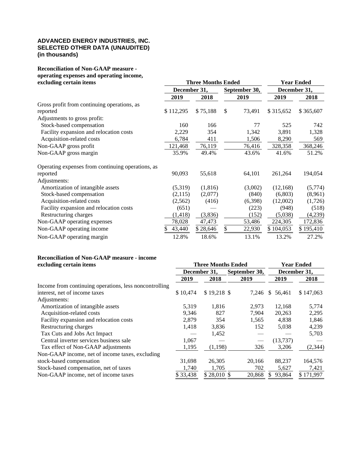#### **ADVANCED ENERGY INDUSTRIES, INC. SELECTED OTHER DATA (UNAUDITED) (in thousands)**

# **Reconciliation of Non-GAAP measure operating expenses and operating income,**

| excluding certain items                           |              | <b>Three Months Ended</b> |               | <b>Year Ended</b> |              |  |
|---------------------------------------------------|--------------|---------------------------|---------------|-------------------|--------------|--|
|                                                   | December 31, |                           | September 30, |                   | December 31, |  |
|                                                   | 2019         | 2018                      | 2019          | 2019              | 2018         |  |
| Gross profit from continuing operations, as       |              |                           |               |                   |              |  |
| reported                                          | \$112,295    | \$75,188                  | 73,491<br>\$  | \$315,652         | \$365,607    |  |
| Adjustments to gross profit:                      |              |                           |               |                   |              |  |
| Stock-based compensation                          | 160          | 166                       | 77            | 525               | 742          |  |
| Facility expansion and relocation costs           | 2,229        | 354                       | 1,342         | 3,891             | 1,328        |  |
| Acquisition-related costs                         | 6,784        | 411                       | 1,506         | 8,290             | 569          |  |
| Non-GAAP gross profit                             | 121,468      | 76,119                    | 76,416        | 328,358           | 368,246      |  |
| Non-GAAP gross margin                             | 35.9%        | 49.4%                     | 43.6%         | 41.6%             | 51.2%        |  |
| Operating expenses from continuing operations, as |              |                           |               |                   |              |  |
| reported                                          | 90,093       | 55,618                    | 64,101        | 261,264           | 194,054      |  |
| Adjustments:                                      |              |                           |               |                   |              |  |
| Amortization of intangible assets                 | (5,319)      | (1, 816)                  | (3,002)       | (12, 168)         | (5,774)      |  |
| Stock-based compensation                          | (2,115)      | (2,077)                   | (840)         | (6,803)           | (8,961)      |  |
| Acquisition-related costs                         | (2,562)      | (416)                     | (6,398)       | (12,002)          | (1,726)      |  |
| Facility expansion and relocation costs           | (651)        |                           | (223)         | (948)             | (518)        |  |
| Restructuring charges                             | (1, 418)     | (3,836)                   | (152)         | (5,038)           | (4,239)      |  |
| Non-GAAP operating expenses                       | 78,028       | 47,473                    | 53,486        | 224,305           | 172,836      |  |
| Non-GAAP operating income                         | 43,440       | \$28,646                  | \$<br>22,930  | \$104,053         | \$195,410    |  |
| Non-GAAP operating margin                         | 12.8%        | 18.6%                     | 13.1%         | 13.2%             | 27.2%        |  |

# **Reconciliation of Non-GAAP measure - income**

| excluding certain items                                |          | <b>Three Months Ended</b> |               | <b>Year Ended</b>       |              |  |  |
|--------------------------------------------------------|----------|---------------------------|---------------|-------------------------|--------------|--|--|
|                                                        |          | December 31,              | September 30, |                         | December 31, |  |  |
|                                                        | 2019     | 2018                      |               | 2019                    | 2018         |  |  |
| Income from continuing operations, less noncontrolling |          |                           |               |                         |              |  |  |
| interest, net of income taxes                          | \$10,474 | $$19,218$ \$              | 7.246         | <sup>\$</sup><br>56,461 | \$147,063    |  |  |
| Adjustments:                                           |          |                           |               |                         |              |  |  |
| Amortization of intangible assets                      | 5,319    | 1,816                     | 2,973         | 12,168                  | 5,774        |  |  |
| Acquisition-related costs                              | 9.346    | 827                       | 7.904         | 20.263                  | 2,295        |  |  |
| Facility expansion and relocation costs                | 2,879    | 354                       | 1,565         | 4,838                   | 1,846        |  |  |
| Restructuring charges                                  | 1,418    | 3,836                     | 152           | 5,038                   | 4,239        |  |  |
| Tax Cuts and Jobs Act Impact                           |          | 1,452                     |               |                         | 5,703        |  |  |
| Central inverter services business sale                | 1,067    |                           |               | (13,737)                |              |  |  |
| Tax effect of Non-GAAP adjustments                     | 1,195    | (1,198)                   | 326           | 3,206                   | (2, 344)     |  |  |
| Non-GAAP income, net of income taxes, excluding        |          |                           |               |                         |              |  |  |
| stock-based compensation                               | 31,698   | 26,305                    | 20,166        | 88,237                  | 164,576      |  |  |
| Stock-based compensation, net of taxes                 | 1,740    | 1,705                     | 702           | 5,627                   | 7,421        |  |  |
| Non-GAAP income, net of income taxes                   | \$33,438 | $$28,010$ \$              | 20,868        | 93,864                  | \$171,997    |  |  |